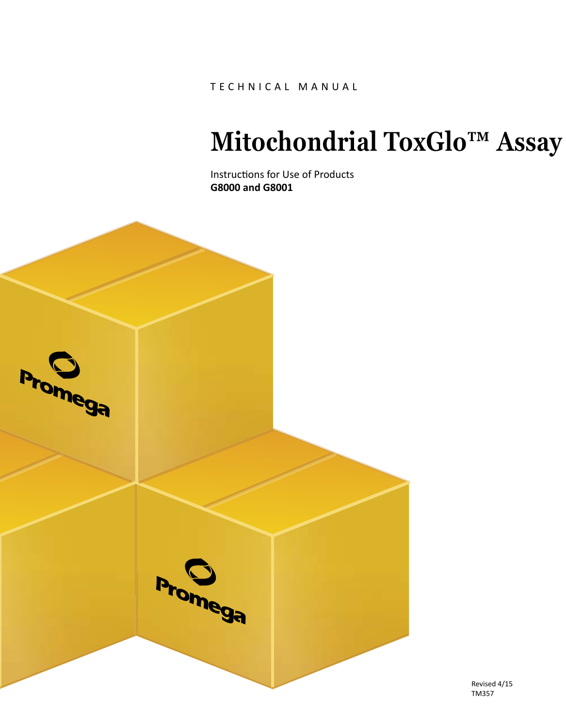TECHNICAL MANUAL

# **Mitochondrial ToxGlo™ Assay**

Instructions for Use of Products **G8000 and G8001**



Revised 4/15 TM357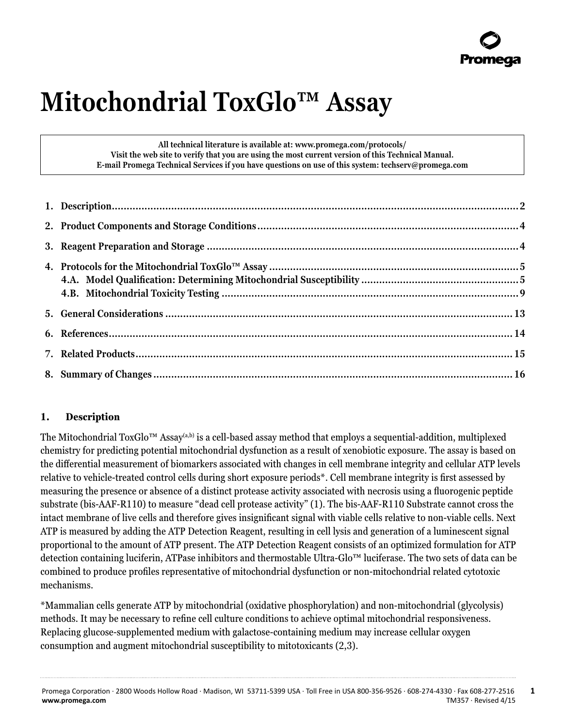# **Mitochondrial ToxGlo™ Assay**

**All technical literature is available at: www.promega.com/protocols/ Visit the web site to verify that you are using the most current version of this Technical Manual. E-mail Promega Technical Services if you have questions on use of this system: techserv@promega.com**

# **1. Description**

The Mitochondrial ToxGlo™ Assay<sup>(a,b)</sup> is a cell-based assay method that employs a sequential-addition, multiplexed chemistry for predicting potential mitochondrial dysfunction as a result of xenobiotic exposure. The assay is based on the differential measurement of biomarkers associated with changes in cell membrane integrity and cellular ATP levels relative to vehicle-treated control cells during short exposure periods\*. Cell membrane integrity is first assessed by measuring the presence or absence of a distinct protease activity associated with necrosis using a fluorogenic peptide substrate (bis-AAF-R110) to measure "dead cell protease activity" (1). The bis-AAF-R110 Substrate cannot cross the intact membrane of live cells and therefore gives insignificant signal with viable cells relative to non-viable cells. Next ATP is measured by adding the ATP Detection Reagent, resulting in cell lysis and generation of a luminescent signal proportional to the amount of ATP present. The ATP Detection Reagent consists of an optimized formulation for ATP detection containing luciferin, ATPase inhibitors and thermostable Ultra-Glo™ luciferase. The two sets of data can be combined to produce profiles representative of mitochondrial dysfunction or non-mitochondrial related cytotoxic mechanisms.

\*Mammalian cells generate ATP by mitochondrial (oxidative phosphorylation) and non-mitochondrial (glycolysis) methods. It may be necessary to refine cell culture conditions to achieve optimal mitochondrial responsiveness. Replacing glucose-supplemented medium with galactose-containing medium may increase cellular oxygen consumption and augment mitochondrial susceptibility to mitotoxicants (2,3).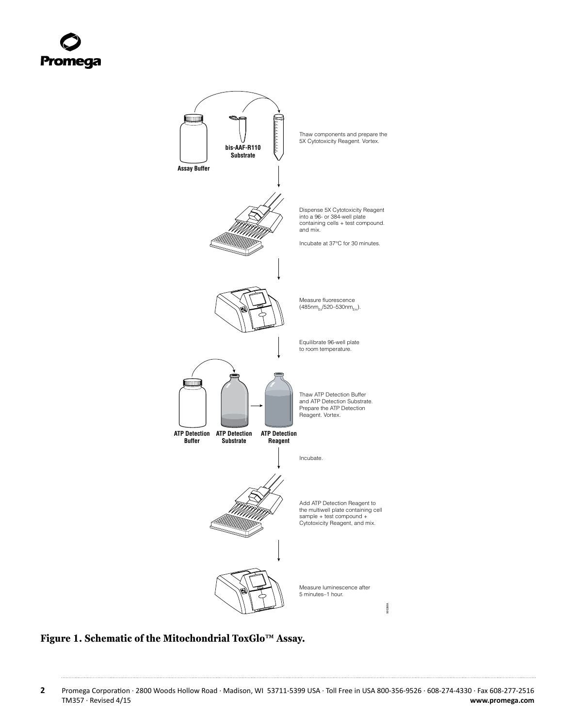<span id="page-2-0"></span>

# **Figure 1. Schematic of the Mitochondrial ToxGlo™ Assay.**

**2** Promega Corporation · 2800 Woods Hollow Road · Madison, WI 53711-5399 USA · Toll Free in USA 800-356-9526 · 608-274-4330 · Fax 608-277-2516 TRE 1. Schematic of the Mitochondrial ToxGlo™ Assay.<br>Promega Corporation · 2800 Woods Hollow Road · Madison, WI 53711-5399 USA · Toll Free in USA 800-356-9526 · 608-274-4330 · Fax 608-277-2516<br>TM357 · Revised 4/15 www.pro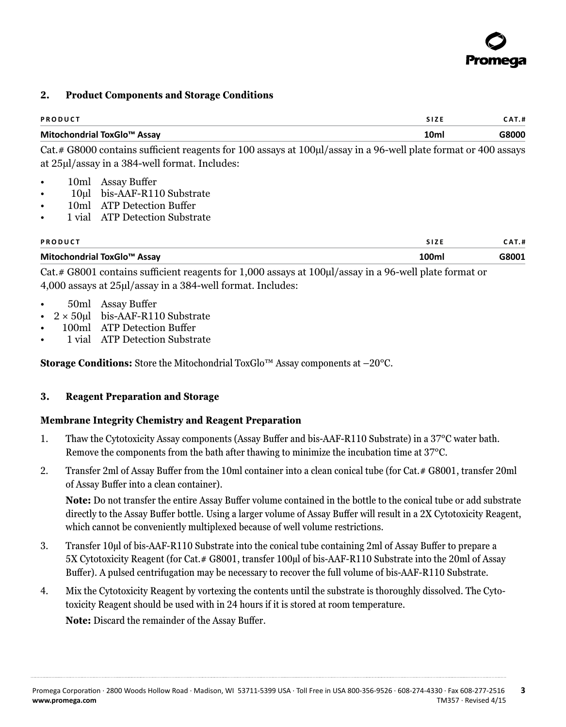

#### **2. Product Components and Storage Conditions**

| <b>PRODUCT</b>              |      | <b>CAT.#</b> |
|-----------------------------|------|--------------|
| Mitochondrial ToxGlo™ Assay | 10ml | G8000        |

Cat.# G8000 contains sufficient reagents for 100 assays at 100µl/assay in a 96-well plate format or 400 assays at 25µl/assay in a 384-well format. Includes:

- 10ml Assay Buffer
- 10ul bis-AAF-R110 Substrate
- 10ml ATP Detection Buffer
- 1 vial ATP Detection Substrate

| <b>PRODUCT</b>              | <b>SIZE</b> | CAT.# |
|-----------------------------|-------------|-------|
| Mitochondrial ToxGlo™ Assay | 100mı       | G8001 |

Cat.# G8001 contains sufficient reagents for 1,000 assays at 100µl/assay in a 96-well plate format or 4,000 assays at 25µl/assay in a 384-well format. Includes:

- 50ml Assay Buffer
- $2 \times 50$ ul bis-AAF-R110 Substrate
- 100ml ATP Detection Buffer
- 1 vial ATP Detection Substrate

**Storage Conditions:** Store the Mitochondrial ToxGlo™ Assay components at –20°C.

#### **3. Reagent Preparation and Storage**

#### **Membrane Integrity Chemistry and Reagent Preparation**

- 1. Thaw the Cytotoxicity Assay components (Assay Buffer and bis-AAF-R110 Substrate) in a 37°C water bath. Remove the components from the bath after thawing to minimize the incubation time at 37°C.
- 2. Transfer 2ml of Assay Buffer from the 10ml container into a clean conical tube (for Cat.# G8001, transfer 20ml of Assay Buffer into a clean container).

**Note:** Do not transfer the entire Assay Buffer volume contained in the bottle to the conical tube or add substrate directly to the Assay Buffer bottle. Using a larger volume of Assay Buffer will result in a 2X Cytotoxicity Reagent, which cannot be conveniently multiplexed because of well volume restrictions.

- 3. Transfer 10µl of bis-AAF-R110 Substrate into the conical tube containing 2ml of Assay Buffer to prepare a 5X Cytotoxicity Reagent (for Cat.# G8001, transfer 100µl of bis-AAF-R110 Substrate into the 20ml of Assay Buffer). A pulsed centrifugation may be necessary to recover the full volume of bis-AAF-R110 Substrate.
- 4. Mix the Cytotoxicity Reagent by vortexing the contents until the substrate is thoroughly dissolved. The Cytotoxicity Reagent should be used with in 24 hours if it is stored at room temperature. **Note:** Discard the remainder of the Assay Buffer.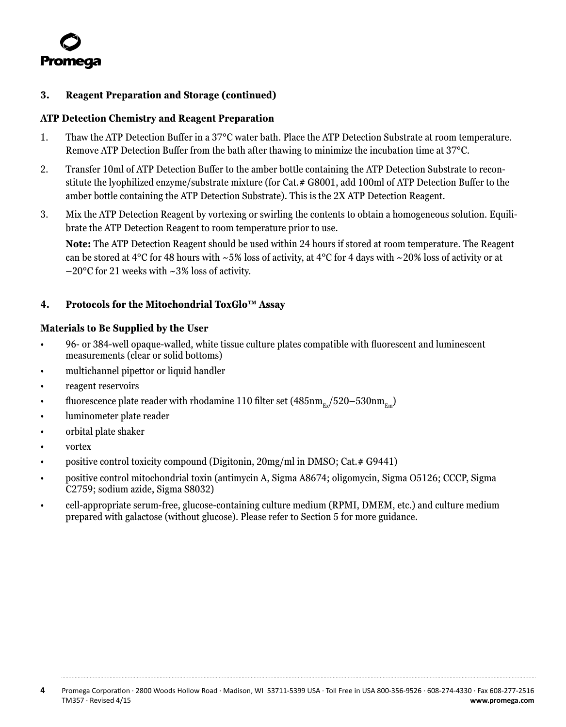<span id="page-4-0"></span>

#### **3. Reagent Preparation and Storage (continued)**

#### **ATP Detection Chemistry and Reagent Preparation**

- 1. Thaw the ATP Detection Buffer in a 37°C water bath. Place the ATP Detection Substrate at room temperature. Remove ATP Detection Buffer from the bath after thawing to minimize the incubation time at 37°C.
- 2. Transfer 10ml of ATP Detection Buffer to the amber bottle containing the ATP Detection Substrate to reconstitute the lyophilized enzyme/substrate mixture (for Cat.# G8001, add 100ml of ATP Detection Buffer to the amber bottle containing the ATP Detection Substrate). This is the 2X ATP Detection Reagent.
- 3. Mix the ATP Detection Reagent by vortexing or swirling the contents to obtain a homogeneous solution. Equilibrate the ATP Detection Reagent to room temperature prior to use.

**Note:** The ATP Detection Reagent should be used within 24 hours if stored at room temperature. The Reagent can be stored at 4°C for 48 hours with  $\sim$  5% loss of activity, at 4°C for 4 days with  $\sim$  20% loss of activity or at –20°C for 21 weeks with ~3% loss of activity.

# **4. Protocols for the Mitochondrial ToxGlo™ Assay**

#### **Materials to Be Supplied by the User**

- 96- or 384-well opaque-walled, white tissue culture plates compatible with fluorescent and luminescent measurements (clear or solid bottoms)
- multichannel pipettor or liquid handler
- reagent reservoirs
- fluorescence plate reader with rhodamine 110 filter set  $(485nm_{F,v}/520-530nm_{F,m})$
- luminometer plate reader
- orbital plate shaker
- vortex
- positive control toxicity compound (Digitonin, 20mg/ml in DMSO; Cat.# G9441)
- positive control mitochondrial toxin (antimycin A, Sigma A8674; oligomycin, Sigma O5126; CCCP, Sigma C2759; sodium azide, Sigma S8032)
- cell-appropriate serum-free, glucose-containing culture medium (RPMI, DMEM, etc.) and culture medium prepared with galactose (without glucose). Please refer to Section 5 for more guidance.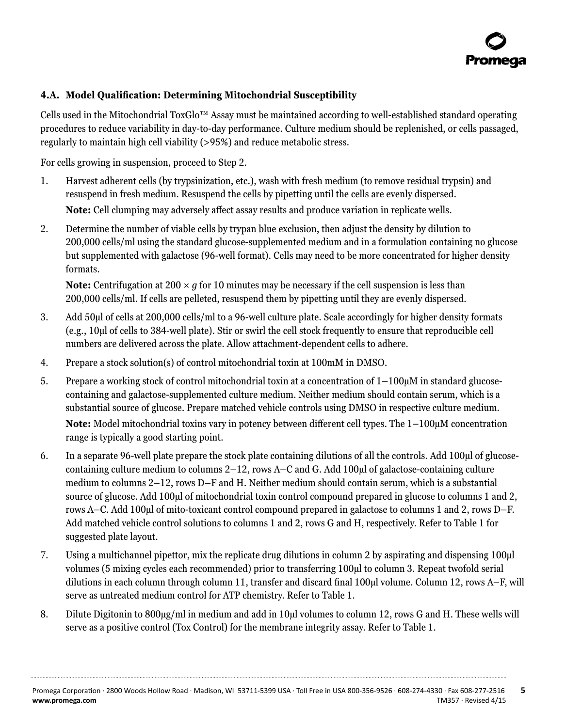# <span id="page-5-0"></span>**4.A. Model Qualification: Determining Mitochondrial Susceptibility**

Cells used in the Mitochondrial ToxGlo™ Assay must be maintained according to well-established standard operating procedures to reduce variability in day-to-day performance. Culture medium should be replenished, or cells passaged, regularly to maintain high cell viability (>95%) and reduce metabolic stress.

For cells growing in suspension, proceed to Step 2.

- 1. Harvest adherent cells (by trypsinization, etc.), wash with fresh medium (to remove residual trypsin) and resuspend in fresh medium. Resuspend the cells by pipetting until the cells are evenly dispersed. **Note:** Cell clumping may adversely affect assay results and produce variation in replicate wells.
- 2. Determine the number of viable cells by trypan blue exclusion, then adjust the density by dilution to 200,000 cells/ml using the standard glucose-supplemented medium and in a formulation containing no glucose but supplemented with galactose (96-well format). Cells may need to be more concentrated for higher density formats.

**Note:** Centrifugation at 200  $\times$  *g* for 10 minutes may be necessary if the cell suspension is less than 200,000 cells/ml. If cells are pelleted, resuspend them by pipetting until they are evenly dispersed.

- 3. Add 50µl of cells at 200,000 cells/ml to a 96-well culture plate. Scale accordingly for higher density formats (e.g., 10µl of cells to 384-well plate). Stir or swirl the cell stock frequently to ensure that reproducible cell numbers are delivered across the plate. Allow attachment-dependent cells to adhere.
- 4. Prepare a stock solution(s) of control mitochondrial toxin at 100mM in DMSO.
- 5. Prepare a working stock of control mitochondrial toxin at a concentration of 1–100µM in standard glucosecontaining and galactose-supplemented culture medium. Neither medium should contain serum, which is a substantial source of glucose. Prepare matched vehicle controls using DMSO in respective culture medium. **Note:** Model mitochondrial toxins vary in potency between different cell types. The 1–100µM concentration range is typically a good starting point.
- 6. In a separate 96-well plate prepare the stock plate containing dilutions of all the controls. Add 100µl of glucosecontaining culture medium to columns 2–12, rows A–C and G. Add 100µl of galactose-containing culture medium to columns 2–12, rows D–F and H. Neither medium should contain serum, which is a substantial source of glucose. Add 100µl of mitochondrial toxin control compound prepared in glucose to columns 1 and 2, rows A–C. Add 100µl of mito-toxicant control compound prepared in galactose to columns 1 and 2, rows D–F. Add matched vehicle control solutions to columns 1 and 2, rows G and H, respectively. Refer to Table 1 for suggested plate layout.
- 7. Using a multichannel pipettor, mix the replicate drug dilutions in column 2 by aspirating and dispensing 100µl volumes (5 mixing cycles each recommended) prior to transferring 100µl to column 3. Repeat twofold serial dilutions in each column through column 11, transfer and discard final 100µl volume. Column 12, rows A–F, will serve as untreated medium control for ATP chemistry. Refer to Table 1.
- 8. Dilute Digitonin to 800µg/ml in medium and add in 10µl volumes to column 12, rows G and H. These wells will serve as a positive control (Tox Control) for the membrane integrity assay. Refer to Table 1.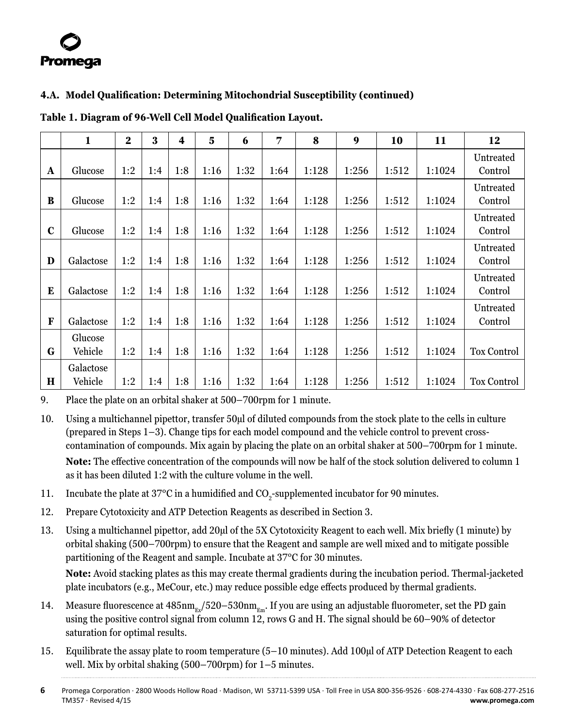# **4.A. Model Qualification: Determining Mitochondrial Susceptibility (continued)**

|              | $\mathbf{1}$         | $\overline{2}$ | 3   | $\overline{\mathbf{4}}$ | $\overline{\mathbf{5}}$ | 6    | 7    | 8     | 9     | 10    | 11     | 12                   |
|--------------|----------------------|----------------|-----|-------------------------|-------------------------|------|------|-------|-------|-------|--------|----------------------|
| $\mathbf{A}$ | Glucose              | 1:2            | 1:4 | 1:8                     | 1:16                    | 1:32 | 1:64 | 1:128 | 1:256 | 1:512 | 1:1024 | Untreated<br>Control |
| B            | Glucose              | 1:2            | 1:4 | 1:8                     | 1:16                    | 1:32 | 1:64 | 1:128 | 1:256 | 1:512 | 1:1024 | Untreated<br>Control |
| $\mathbf c$  | Glucose              | 1:2            | 1:4 | 1:8                     | 1:16                    | 1:32 | 1:64 | 1:128 | 1:256 | 1:512 | 1:1024 | Untreated<br>Control |
| D            | Galactose            | 1:2            | 1:4 | 1:8                     | 1:16                    | 1:32 | 1:64 | 1:128 | 1:256 | 1:512 | 1:1024 | Untreated<br>Control |
| E            | Galactose            | 1:2            | 1:4 | 1:8                     | 1:16                    | 1:32 | 1:64 | 1:128 | 1:256 | 1:512 | 1:1024 | Untreated<br>Control |
| F            | Galactose            | 1:2            | 1:4 | 1:8                     | 1:16                    | 1:32 | 1:64 | 1:128 | 1:256 | 1:512 | 1:1024 | Untreated<br>Control |
| G            | Glucose<br>Vehicle   | 1:2            | 1:4 | 1:8                     | 1:16                    | 1:32 | 1:64 | 1:128 | 1:256 | 1:512 | 1:1024 | <b>Tox Control</b>   |
| $\mathbf H$  | Galactose<br>Vehicle | 1:2            | 1:4 | 1:8                     | 1:16                    | 1:32 | 1:64 | 1:128 | 1:256 | 1:512 | 1:1024 | <b>Tox Control</b>   |

**Table 1. Diagram of 96-Well Cell Model Qualification Layout.**

9. Place the plate on an orbital shaker at 500–700rpm for 1 minute.

- 10. Using a multichannel pipettor, transfer 50µl of diluted compounds from the stock plate to the cells in culture (prepared in Steps 1–3). Change tips for each model compound and the vehicle control to prevent crosscontamination of compounds. Mix again by placing the plate on an orbital shaker at 500–700rpm for 1 minute. **Note:** The effective concentration of the compounds will now be half of the stock solution delivered to column 1 as it has been diluted 1:2 with the culture volume in the well.
- 11. Incubate the plate at 37°C in a humidified and CO<sub>2</sub>-supplemented incubator for 90 minutes.
- 12. Prepare Cytotoxicity and ATP Detection Reagents as described in Section 3.
- 13. Using a multichannel pipettor, add 20µl of the 5X Cytotoxicity Reagent to each well. Mix briefly (1 minute) by orbital shaking (500–700rpm) to ensure that the Reagent and sample are well mixed and to mitigate possible partitioning of the Reagent and sample. Incubate at 37°C for 30 minutes.

**Note:** Avoid stacking plates as this may create thermal gradients during the incubation period. Thermal-jacketed plate incubators (e.g., MeCour, etc.) may reduce possible edge effects produced by thermal gradients.

- 14. Measure fluorescence at  $485 \text{nm}_{g}/520-530 \text{nm}_{g}$ . If you are using an adjustable fluorometer, set the PD gain using the positive control signal from column 12, rows G and H. The signal should be 60–90% of detector saturation for optimal results.
- 15. Equilibrate the assay plate to room temperature (5–10 minutes). Add 100µl of ATP Detection Reagent to each well. Mix by orbital shaking (500–700rpm) for 1–5 minutes.

**<sup>6</sup>** Promega Corporation · 2800 Woods Hollow Road · Madison, WI 53711-5399 USA · Toll Free in USA 800-356-9526 · 608-274-4330 · Fax 608-277-2516 TM357 · Revised 4/15 **www.promega.com**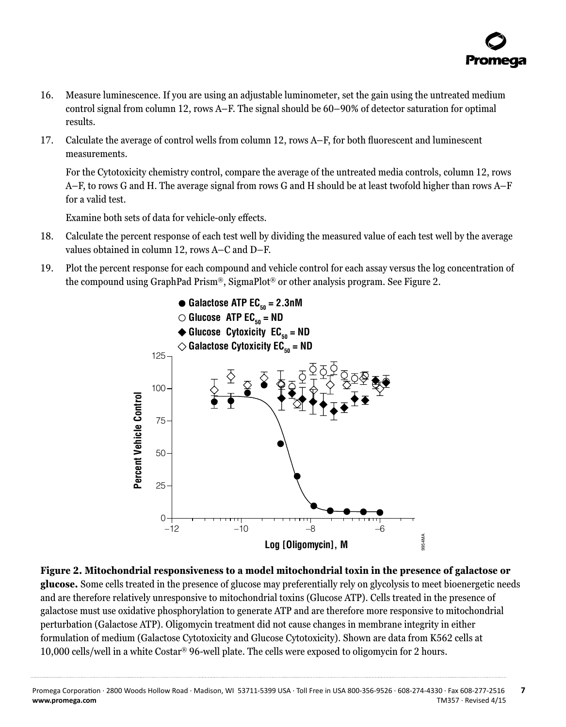- 16. Measure luminescence. If you are using an adjustable luminometer, set the gain using the untreated medium control signal from column 12, rows A–F. The signal should be 60–90% of detector saturation for optimal results.
- 17. Calculate the average of control wells from column 12, rows A–F, for both fluorescent and luminescent measurements.

For the Cytotoxicity chemistry control, compare the average of the untreated media controls, column 12, rows A–F, to rows G and H. The average signal from rows G and H should be at least twofold higher than rows A–F for a valid test.

Examine both sets of data for vehicle-only effects.

- 18. Calculate the percent response of each test well by dividing the measured value of each test well by the average values obtained in column 12, rows A–C and D–F.
- 19. Plot the percent response for each compound and vehicle control for each assay versus the log concentration of the compound using GraphPad Prism®, SigmaPlot® or other analysis program. See Figure 2.



**Figure 2. Mitochondrial responsiveness to a model mitochondrial toxin in the presence of galactose or glucose.** Some cells treated in the presence of glucose may preferentially rely on glycolysis to meet bioenergetic needs and are therefore relatively unresponsive to mitochondrial toxins (Glucose ATP). Cells treated in the presence of galactose must use oxidative phosphorylation to generate ATP and are therefore more responsive to mitochondrial perturbation (Galactose ATP). Oligomycin treatment did not cause changes in membrane integrity in either formulation of medium (Galactose Cytotoxicity and Glucose Cytotoxicity). Shown are data from K562 cells at 10,000 cells/well in a white Costar® 96-well plate. The cells were exposed to oligomycin for 2 hours.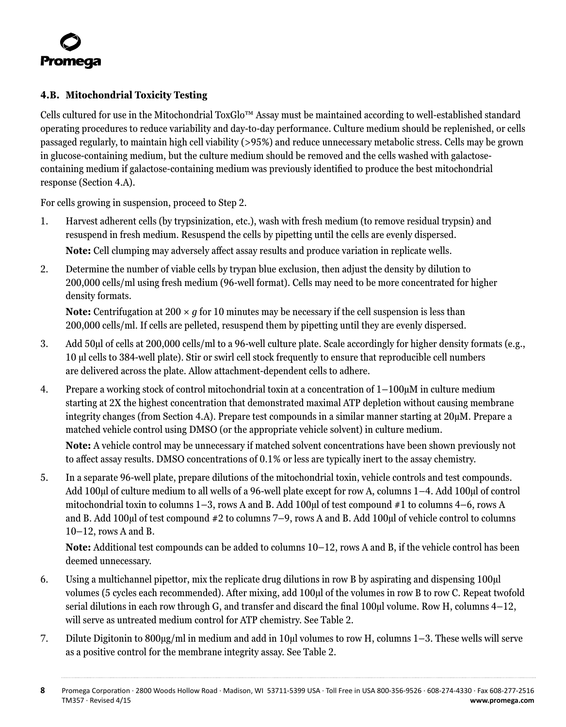

# **4.B. Mitochondrial Toxicity Testing**

Cells cultured for use in the Mitochondrial ToxGlo™ Assay must be maintained according to well-established standard operating procedures to reduce variability and day-to-day performance. Culture medium should be replenished, or cells passaged regularly, to maintain high cell viability (>95%) and reduce unnecessary metabolic stress. Cells may be grown in glucose-containing medium, but the culture medium should be removed and the cells washed with galactosecontaining medium if galactose-containing medium was previously identified to produce the best mitochondrial response (Section 4.A).

For cells growing in suspension, proceed to Step 2.

- 1. Harvest adherent cells (by trypsinization, etc.), wash with fresh medium (to remove residual trypsin) and resuspend in fresh medium. Resuspend the cells by pipetting until the cells are evenly dispersed. **Note:** Cell clumping may adversely affect assay results and produce variation in replicate wells.
- 2. Determine the number of viable cells by trypan blue exclusion, then adjust the density by dilution to 200,000 cells/ml using fresh medium (96-well format). Cells may need to be more concentrated for higher density formats.

**Note:** Centrifugation at 200  $\times$  *g* for 10 minutes may be necessary if the cell suspension is less than 200,000 cells/ml. If cells are pelleted, resuspend them by pipetting until they are evenly dispersed.

- 3. Add 50µl of cells at 200,000 cells/ml to a 96-well culture plate. Scale accordingly for higher density formats (e.g., 10 µl cells to 384-well plate). Stir or swirl cell stock frequently to ensure that reproducible cell numbers are delivered across the plate. Allow attachment-dependent cells to adhere.
- 4. Prepare a working stock of control mitochondrial toxin at a concentration of 1–100µM in culture medium starting at 2X the highest concentration that demonstrated maximal ATP depletion without causing membrane integrity changes (from Section 4.A). Prepare test compounds in a similar manner starting at 20µM. Prepare a matched vehicle control using DMSO (or the appropriate vehicle solvent) in culture medium.

**Note:** A vehicle control may be unnecessary if matched solvent concentrations have been shown previously not to affect assay results. DMSO concentrations of 0.1% or less are typically inert to the assay chemistry.

5. In a separate 96-well plate, prepare dilutions of the mitochondrial toxin, vehicle controls and test compounds. Add 100ul of culture medium to all wells of a 96-well plate except for row A, columns 1–4. Add 100ul of control mitochondrial toxin to columns  $1-3$ , rows A and B. Add 100 $\mu$ l of test compound #1 to columns 4–6, rows A and B. Add 100µl of test compound #2 to columns 7–9, rows A and B. Add 100µl of vehicle control to columns 10–12, rows A and B.

**Note:** Additional test compounds can be added to columns 10–12, rows A and B, if the vehicle control has been deemed unnecessary.

- 6. Using a multichannel pipettor, mix the replicate drug dilutions in row B by aspirating and dispensing 100µl volumes (5 cycles each recommended). After mixing, add 100µl of the volumes in row B to row C. Repeat twofold serial dilutions in each row through G, and transfer and discard the final 100µl volume. Row H, columns 4–12, will serve as untreated medium control for ATP chemistry. See Table 2.
- 7. Dilute Digitonin to 800µg/ml in medium and add in 10µl volumes to row H, columns 1–3. These wells will serve as a positive control for the membrane integrity assay. See Table 2.

**<sup>8</sup>** Promega Corporation · 2800 Woods Hollow Road · Madison, WI 53711-5399 USA · Toll Free in USA 800-356-9526 · 608-274-4330 · Fax 608-277-2516 TM357 · Revised 4/15 **www.promega.com**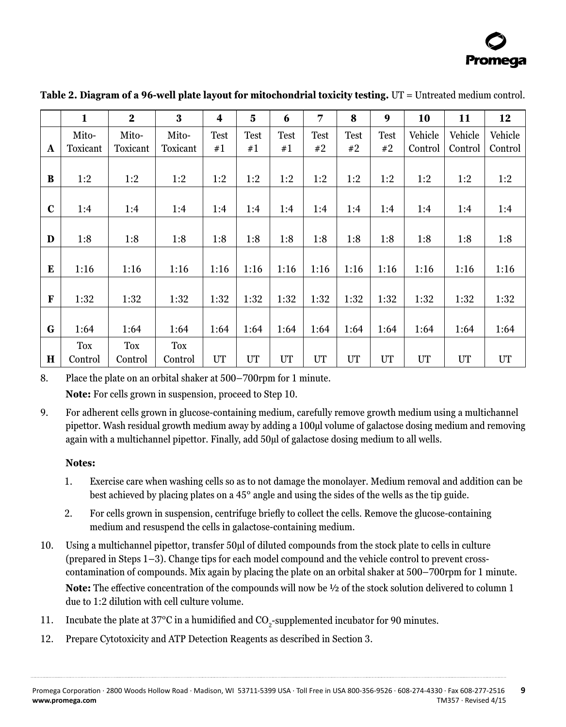

|             | $\mathbf{1}$ | $\mathbf{2}$ | 3          | 4    | 5    | 6           | 7           | 8           | 9           | 10      | 11      | 12      |
|-------------|--------------|--------------|------------|------|------|-------------|-------------|-------------|-------------|---------|---------|---------|
|             | Mito-        | Mito-        | Mito-      | Test | Test | <b>Test</b> | <b>Test</b> | <b>Test</b> | <b>Test</b> | Vehicle | Vehicle | Vehicle |
| A           | Toxicant     | Toxicant     | Toxicant   | #1   | #1   | #1          | #2          | #2          | #2          | Control | Control | Control |
|             |              |              |            |      |      |             |             |             |             |         |         |         |
| B           | 1:2          | 1:2          | 1:2        | 1:2  | 1:2  | 1:2         | 1:2         | 1:2         | 1:2         | 1:2     | 1:2     | 1:2     |
|             |              |              |            |      |      |             |             |             |             |         |         |         |
| $\mathbf c$ | 1:4          | 1:4          | 1:4        | 1:4  | 1:4  | 1:4         | 1:4         | 1:4         | 1:4         | 1:4     | 1:4     | 1:4     |
|             |              |              |            |      |      |             |             |             |             |         |         |         |
| D           | 1:8          | 1:8          | 1:8        | 1:8  | 1:8  | 1:8         | 1:8         | 1:8         | 1:8         | 1:8     | 1:8     | 1:8     |
|             |              |              |            |      |      |             |             |             |             |         |         |         |
| E           | 1:16         | 1:16         | 1:16       | 1:16 | 1:16 | 1:16        | 1:16        | 1:16        | 1:16        | 1:16    | 1:16    | 1:16    |
|             |              |              |            |      |      |             |             |             |             |         |         |         |
| F           | 1:32         | 1:32         | 1:32       | 1:32 | 1:32 | 1:32        | 1:32        | 1:32        | 1:32        | 1:32    | 1:32    | 1:32    |
|             |              |              |            |      |      |             |             |             |             |         |         |         |
| G           | 1:64         | 1:64         | 1:64       | 1:64 | 1:64 | 1:64        | 1:64        | 1:64        | 1:64        | 1:64    | 1:64    | 1:64    |
|             | Tox          | <b>Tox</b>   | <b>Tox</b> |      |      |             |             |             |             |         |         |         |
| Н           | Control      | Control      | Control    | UT   | UT   | UT          | UT          | UT          | UT          | UT      | UT      | UT      |

<span id="page-9-0"></span>**Table 2. Diagram of a 96-well plate layout for mitochondrial toxicity testing.** UT = Untreated medium control.

8. Place the plate on an orbital shaker at 500–700rpm for 1 minute.

**Note:** For cells grown in suspension, proceed to Step 10.

9. For adherent cells grown in glucose-containing medium, carefully remove growth medium using a multichannel pipettor. Wash residual growth medium away by adding a 100µl volume of galactose dosing medium and removing again with a multichannel pipettor. Finally, add 50µl of galactose dosing medium to all wells.

# **Notes:**

- 1. Exercise care when washing cells so as to not damage the monolayer. Medium removal and addition can be best achieved by placing plates on a 45° angle and using the sides of the wells as the tip guide.
- 2. For cells grown in suspension, centrifuge briefly to collect the cells. Remove the glucose-containing medium and resuspend the cells in galactose-containing medium.
- 10. Using a multichannel pipettor, transfer 50µl of diluted compounds from the stock plate to cells in culture (prepared in Steps 1–3). Change tips for each model compound and the vehicle control to prevent crosscontamination of compounds. Mix again by placing the plate on an orbital shaker at 500–700rpm for 1 minute. **Note:** The effective concentration of the compounds will now be ½ of the stock solution delivered to column 1 due to 1:2 dilution with cell culture volume.
- 11. Incubate the plate at 37 $\rm{^{\circ}C}$  in a humidified and  $\rm{CO}_{2}$ -supplemented incubator for 90 minutes.
- 12. Prepare Cytotoxicity and ATP Detection Reagents as described in Section 3.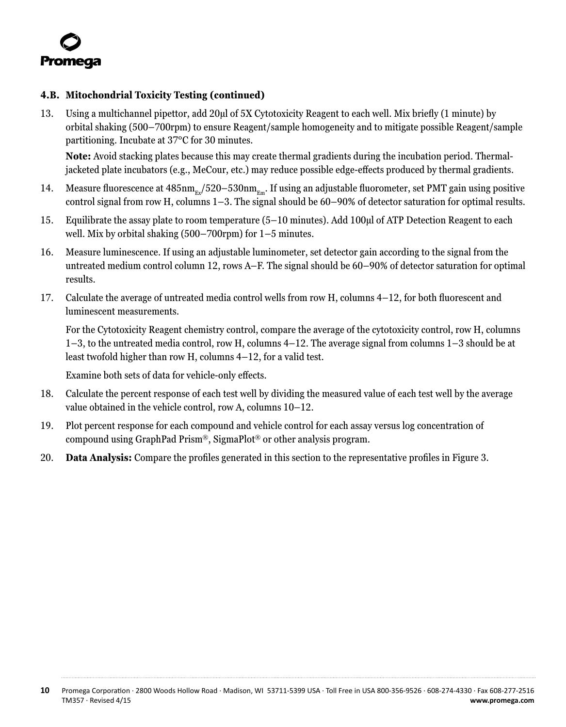

### **4.B. Mitochondrial Toxicity Testing (continued)**

13. Using a multichannel pipettor, add 20µl of 5X Cytotoxicity Reagent to each well. Mix briefly (1 minute) by orbital shaking (500–700rpm) to ensure Reagent/sample homogeneity and to mitigate possible Reagent/sample partitioning. Incubate at 37°C for 30 minutes.

**Note:** Avoid stacking plates because this may create thermal gradients during the incubation period. Thermaljacketed plate incubators (e.g., MeCour, etc.) may reduce possible edge-effects produced by thermal gradients.

- 14. Measure fluorescence at  $485 \text{nm}_{g}/520-530 \text{nm}_{g}$ . If using an adjustable fluorometer, set PMT gain using positive control signal from row H, columns 1–3. The signal should be 60–90% of detector saturation for optimal results.
- 15. Equilibrate the assay plate to room temperature (5–10 minutes). Add 100µl of ATP Detection Reagent to each well. Mix by orbital shaking (500–700rpm) for 1–5 minutes.
- 16. Measure luminescence. If using an adjustable luminometer, set detector gain according to the signal from the untreated medium control column 12, rows A–F. The signal should be 60–90% of detector saturation for optimal results.
- 17. Calculate the average of untreated media control wells from row H, columns 4–12, for both fluorescent and luminescent measurements.

For the Cytotoxicity Reagent chemistry control, compare the average of the cytotoxicity control, row H, columns 1–3, to the untreated media control, row H, columns 4–12. The average signal from columns 1–3 should be at least twofold higher than row H, columns 4–12, for a valid test.

Examine both sets of data for vehicle-only effects.

- 18. Calculate the percent response of each test well by dividing the measured value of each test well by the average value obtained in the vehicle control, row A, columns 10–12.
- 19. Plot percent response for each compound and vehicle control for each assay versus log concentration of compound using GraphPad Prism®, SigmaPlot® or other analysis program.
- 20. **Data Analysis:** Compare the profiles generated in this section to the representative profiles in Figure 3.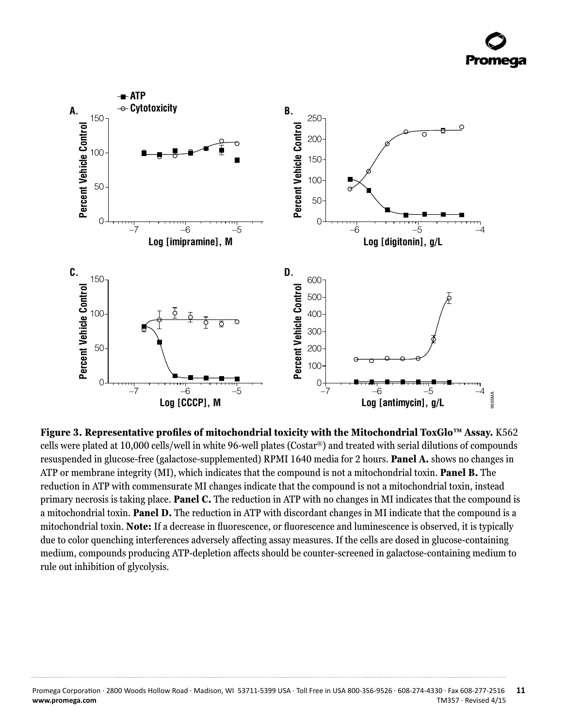

**Figure 3. Representative profiles of mitochondrial toxicity with the Mitochondrial ToxGlo™ Assay.** K562 cells were plated at 10,000 cells/well in white 96-well plates (Costar®) and treated with serial dilutions of compounds resuspended in glucose-free (galactose-supplemented) RPMI 1640 media for 2 hours. **Panel A.** shows no changes in ATP or membrane integrity (MI), which indicates that the compound is not a mitochondrial toxin. **Panel B.** The reduction in ATP with commensurate MI changes indicate that the compound is not a mitochondrial toxin, instead primary necrosis is taking place. **Panel C.** The reduction in ATP with no changes in MI indicates that the compound is a mitochondrial toxin. **Panel D.** The reduction in ATP with discordant changes in MI indicate that the compound is a mitochondrial toxin. **Note:** If a decrease in fluorescence, or fluorescence and luminescence is observed, it is typically due to color quenching interferences adversely affecting assay measures. If the cells are dosed in glucose-containing medium, compounds producing ATP-depletion affects should be counter-screened in galactose-containing medium to rule out inhibition of glycolysis.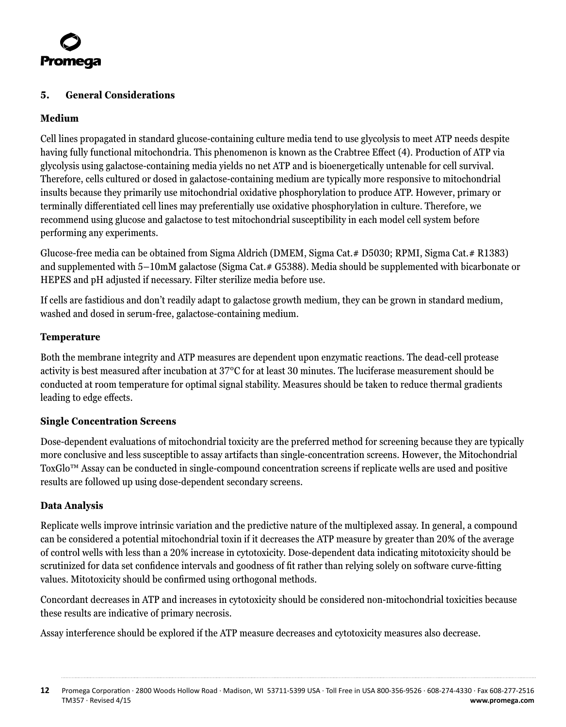

# **5. General Considerations**

### **Medium**

Cell lines propagated in standard glucose-containing culture media tend to use glycolysis to meet ATP needs despite having fully functional mitochondria. This phenomenon is known as the Crabtree Effect (4). Production of ATP via glycolysis using galactose-containing media yields no net ATP and is bioenergetically untenable for cell survival. Therefore, cells cultured or dosed in galactose-containing medium are typically more responsive to mitochondrial insults because they primarily use mitochondrial oxidative phosphorylation to produce ATP. However, primary or terminally differentiated cell lines may preferentially use oxidative phosphorylation in culture. Therefore, we recommend using glucose and galactose to test mitochondrial susceptibility in each model cell system before performing any experiments.

Glucose-free media can be obtained from Sigma Aldrich (DMEM, Sigma Cat.# D5030; RPMI, Sigma Cat.# R1383) and supplemented with 5–10mM galactose (Sigma Cat.# G5388). Media should be supplemented with bicarbonate or HEPES and pH adjusted if necessary. Filter sterilize media before use.

If cells are fastidious and don't readily adapt to galactose growth medium, they can be grown in standard medium, washed and dosed in serum-free, galactose-containing medium.

#### **Temperature**

Both the membrane integrity and ATP measures are dependent upon enzymatic reactions. The dead-cell protease activity is best measured after incubation at 37°C for at least 30 minutes. The luciferase measurement should be conducted at room temperature for optimal signal stability. Measures should be taken to reduce thermal gradients leading to edge effects.

#### **Single Concentration Screens**

Dose-dependent evaluations of mitochondrial toxicity are the preferred method for screening because they are typically more conclusive and less susceptible to assay artifacts than single-concentration screens. However, the Mitochondrial ToxGlo™ Assay can be conducted in single-compound concentration screens if replicate wells are used and positive results are followed up using dose-dependent secondary screens.

#### **Data Analysis**

Replicate wells improve intrinsic variation and the predictive nature of the multiplexed assay. In general, a compound can be considered a potential mitochondrial toxin if it decreases the ATP measure by greater than 20% of the average of control wells with less than a 20% increase in cytotoxicity. Dose-dependent data indicating mitotoxicity should be scrutinized for data set confidence intervals and goodness of fit rather than relying solely on software curve-fitting values. Mitotoxicity should be confirmed using orthogonal methods.

Concordant decreases in ATP and increases in cytotoxicity should be considered non-mitochondrial toxicities because these results are indicative of primary necrosis.

Assay interference should be explored if the ATP measure decreases and cytotoxicity measures also decrease.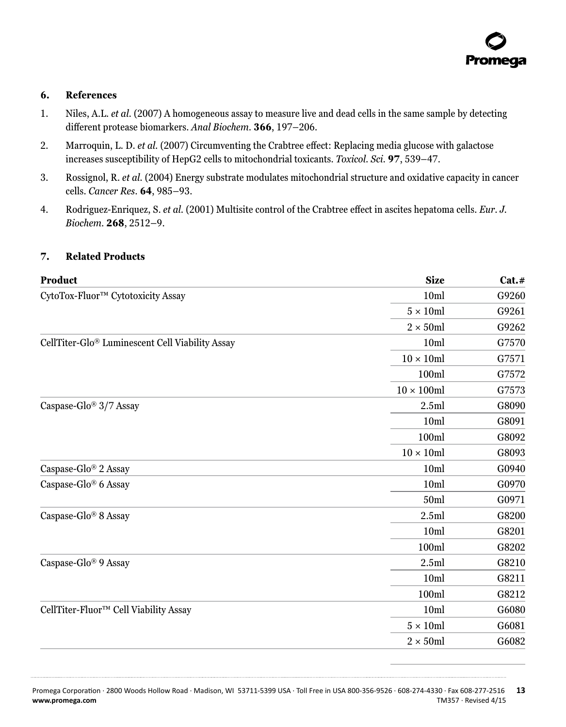#### <span id="page-13-0"></span>**6. References**

- 1. Niles, A.L. *et al.* (2007) A homogeneous assay to measure live and dead cells in the same sample by detecting different protease biomarkers. *Anal Biochem.* **366**, 197–206.
- 2. Marroquin, L. D. *et al.* (2007) Circumventing the Crabtree effect: Replacing media glucose with galactose increases susceptibility of HepG2 cells to mitochondrial toxicants. *Toxicol. Sci.* **97**, 539–47.
- 3. Rossignol, R. *et al.* (2004) Energy substrate modulates mitochondrial structure and oxidative capacity in cancer cells. *Cancer Res.* **64**, 985–93.
- 4. Rodriguez-Enriquez, S. *et al.* (2001) Multisite control of the Crabtree effect in ascites hepatoma cells. *Eur. J. Biochem.* **268**, 2512–9.

#### **7. Related Products**

| <b>Product</b>                                  | <b>Size</b>        | Cat.# |
|-------------------------------------------------|--------------------|-------|
| CytoTox-Fluor™ Cytotoxicity Assay               | 10 <sub>ml</sub>   | G9260 |
|                                                 | $5 \times 10$ ml   | G9261 |
|                                                 | $2 \times 50$ ml   | G9262 |
| CellTiter-Glo® Luminescent Cell Viability Assay | 10ml               | G7570 |
|                                                 | $10 \times 10$ ml  | G7571 |
|                                                 | 100ml              | G7572 |
|                                                 | $10 \times 100$ ml | G7573 |
| Caspase-Glo <sup>®</sup> 3/7 Assay              | 2.5ml              | G8090 |
|                                                 | 10 <sub>m</sub>    | G8091 |
|                                                 | 100ml              | G8092 |
|                                                 | $10 \times 10$ ml  | G8093 |
| Caspase-Glo® 2 Assay                            | 10 <sub>ml</sub>   | G0940 |
| Caspase-Glo® 6 Assay                            | 10 <sub>ml</sub>   | G0970 |
|                                                 | 50ml               | G0971 |
| Caspase-Glo® 8 Assay                            | 2.5ml              | G8200 |
|                                                 | 10 <sub>m</sub>    | G8201 |
|                                                 | 100ml              | G8202 |
| Caspase-Glo® 9 Assay                            | 2.5ml              | G8210 |
|                                                 | 10 <sub>ml</sub>   | G8211 |
|                                                 | 100ml              | G8212 |
| CellTiter-Fluor™ Cell Viability Assay           | 10 <sub>ml</sub>   | G6080 |
|                                                 | $5 \times 10$ ml   | G6081 |
|                                                 | $2 \times 50$ ml   | G6082 |

Promega Corporation · 2800 Woods Hollow Road · Madison, WI 53711-5399 USA · Toll Free in USA 800-356-9526 · 608-274-4330 · Fax 608-277-2516 **13 www.promega.com** TM357 · Revised 4/15

. . . . . . . . . . .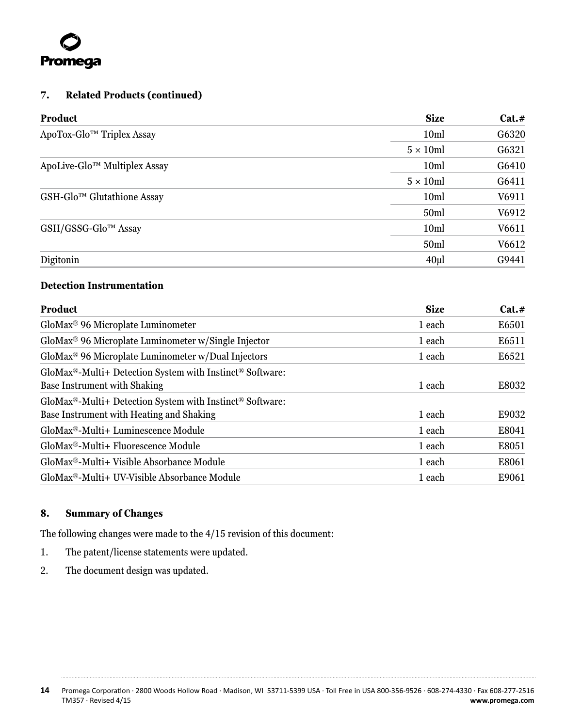<span id="page-14-0"></span>

# **7. Related Products (continued)**

| Product                      | <b>Size</b>      | Cat.# |
|------------------------------|------------------|-------|
| ApoTox-Glo™ Triplex Assay    | 10 <sub>ml</sub> | G6320 |
|                              | $5 \times 10$ ml | G6321 |
| ApoLive-Glo™ Multiplex Assay | 10 <sub>ml</sub> | G6410 |
|                              | $5 \times 10$ ml | G6411 |
| GSH-Glo™ Glutathione Assay   | 10 <sub>ml</sub> | V6911 |
|                              | 50 <sub>ml</sub> | V6912 |
| GSH/GSSG-Glo™ Assay          | 10 <sub>ml</sub> | V6611 |
|                              | 50ml             | V6612 |
| Digitonin                    | 40ul             | G9441 |

# **Detection Instrumentation**

| GloMax <sup>®</sup> 96 Microplate Luminometer<br>$Globalax^{\circledR}$ -Multi+ Detection System with Instinct <sup>®</sup> Software: | 1 each |       |
|---------------------------------------------------------------------------------------------------------------------------------------|--------|-------|
| GloMax <sup>®</sup> 96 Microplate Luminometer w/Single Injector<br>GloMax <sup>®</sup> 96 Microplate Luminometer w/Dual Injectors     |        | E6501 |
|                                                                                                                                       | 1 each | E6511 |
|                                                                                                                                       | 1 each | E6521 |
|                                                                                                                                       |        |       |
| <b>Base Instrument with Shaking</b>                                                                                                   | 1 each | E8032 |
| $Globalax^{\circledast}$ -Multi+ Detection System with Instinct <sup>®</sup> Software:                                                |        |       |
| Base Instrument with Heating and Shaking                                                                                              | 1 each | E9032 |
| GloMax <sup>®</sup> -Multi+ Luminescence Module                                                                                       | 1 each | E8041 |
| GloMax <sup>®</sup> -Multi+ Fluorescence Module                                                                                       | 1 each | E8051 |
| GloMax <sup>®</sup> -Multi+ Visible Absorbance Module                                                                                 | 1 each | E8061 |
| GloMax <sup>®</sup> -Multi+ UV-Visible Absorbance Module                                                                              | 1 each | E9061 |

# **8. Summary of Changes**

The following changes were made to the 4/15 revision of this document:

- 1. The patent/license statements were updated.
- 2. The document design was updated.